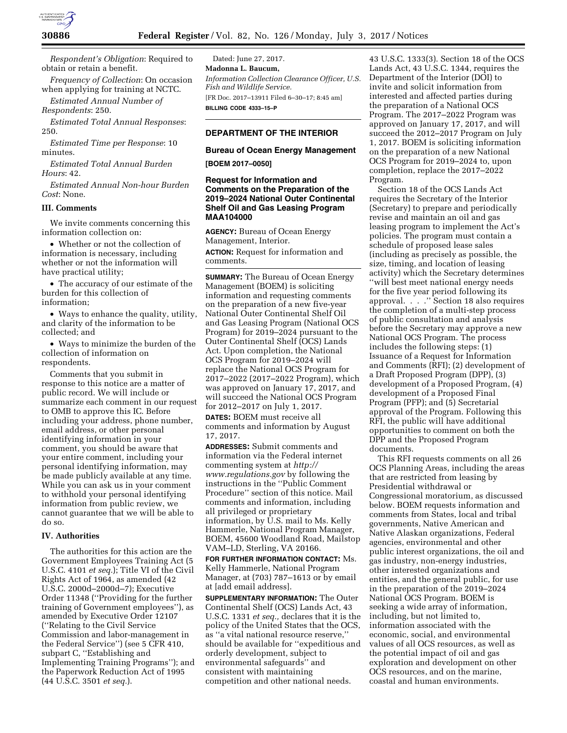

*Respondent's Obligation*: Required to obtain or retain a benefit.

*Frequency of Collection*: On occasion when applying for training at NCTC.

*Estimated Annual Number of Respondents*: 250.

*Estimated Total Annual Responses*: 250.

*Estimated Time per Response*: 10 minutes.

*Estimated Total Annual Burden Hours*: 42.

*Estimated Annual Non-hour Burden Cost*: None.

# **III. Comments**

We invite comments concerning this information collection on:

• Whether or not the collection of information is necessary, including whether or not the information will have practical utility;

• The accuracy of our estimate of the burden for this collection of information;

• Ways to enhance the quality, utility, and clarity of the information to be collected; and

• Ways to minimize the burden of the collection of information on respondents.

Comments that you submit in response to this notice are a matter of public record. We will include or summarize each comment in our request to OMB to approve this IC. Before including your address, phone number, email address, or other personal identifying information in your comment, you should be aware that your entire comment, including your personal identifying information, may be made publicly available at any time. While you can ask us in your comment to withhold your personal identifying information from public review, we cannot guarantee that we will be able to do so.

# **IV. Authorities**

The authorities for this action are the Government Employees Training Act (5 U.S.C. 4101 *et seq.*); Title VI of the Civil Rights Act of 1964, as amended (42 U.S.C. 2000d–2000d–7); Executive Order 11348 (''Providing for the further training of Government employees''), as amended by Executive Order 12107 (''Relating to the Civil Service Commission and labor-management in the Federal Service'') (see 5 CFR 410, subpart C, ''Establishing and Implementing Training Programs''); and the Paperwork Reduction Act of 1995 (44 U.S.C. 3501 *et seq.*).

Dated: June 27, 2017. **Madonna L. Baucum,**  *Information Collection Clearance Officer, U.S. Fish and Wildlife Service.*  [FR Doc. 2017–13911 Filed 6–30–17; 8:45 am] **BILLING CODE 4333–15–P** 

## **DEPARTMENT OF THE INTERIOR**

#### **Bureau of Ocean Energy Management**

**[BOEM 2017–0050]** 

## **Request for Information and Comments on the Preparation of the 2019–2024 National Outer Continental Shelf Oil and Gas Leasing Program MAA104000**

**AGENCY:** Bureau of Ocean Energy Management, Interior.

**ACTION:** Request for information and comments.

**SUMMARY:** The Bureau of Ocean Energy Management (BOEM) is soliciting information and requesting comments on the preparation of a new five-year National Outer Continental Shelf Oil and Gas Leasing Program (National OCS Program) for 2019–2024 pursuant to the Outer Continental Shelf (OCS) Lands Act. Upon completion, the National OCS Program for 2019–2024 will replace the National OCS Program for 2017–2022 (2017–2022 Program), which was approved on January 17, 2017, and will succeed the National OCS Program for 2012–2017 on July 1, 2017.

**DATES:** BOEM must receive all comments and information by August 17, 2017.

**ADDRESSES:** Submit comments and information via the Federal internet commenting system at *[http://](http://www.regulations.gov) [www.regulations.gov](http://www.regulations.gov)* by following the instructions in the ''Public Comment Procedure'' section of this notice. Mail comments and information, including all privileged or proprietary information, by U.S. mail to Ms. Kelly Hammerle, National Program Manager, BOEM, 45600 Woodland Road, Mailstop VAM–LD, Sterling, VA 20166.

**FOR FURTHER INFORMATION CONTACT:** Ms. Kelly Hammerle, National Program Manager, at (703) 787–1613 or by email at [add email address].

**SUPPLEMENTARY INFORMATION:** The Outer Continental Shelf (OCS) Lands Act, 43 U.S.C. 1331 *et seq.,* declares that it is the policy of the United States that the OCS, as ''a vital national resource reserve,'' should be available for ''expeditious and orderly development, subject to environmental safeguards'' and consistent with maintaining competition and other national needs.

43 U.S.C. 1333(3). Section 18 of the OCS Lands Act, 43 U.S.C. 1344, requires the Department of the Interior (DOI) to invite and solicit information from interested and affected parties during the preparation of a National OCS Program. The 2017–2022 Program was approved on January 17, 2017, and will succeed the 2012–2017 Program on July 1, 2017. BOEM is soliciting information on the preparation of a new National OCS Program for 2019–2024 to, upon completion, replace the 2017–2022 Program.

Section 18 of the OCS Lands Act requires the Secretary of the Interior (Secretary) to prepare and periodically revise and maintain an oil and gas leasing program to implement the Act's policies. The program must contain a schedule of proposed lease sales (including as precisely as possible, the size, timing, and location of leasing activity) which the Secretary determines ''will best meet national energy needs for the five year period following its approval. . . .'' Section 18 also requires the completion of a multi-step process of public consultation and analysis before the Secretary may approve a new National OCS Program. The process includes the following steps: (1) Issuance of a Request for Information and Comments (RFI); (2) development of a Draft Proposed Program (DPP), (3) development of a Proposed Program, (4) development of a Proposed Final Program (PFP); and (5) Secretarial approval of the Program. Following this RFI, the public will have additional opportunities to comment on both the DPP and the Proposed Program documents.

This RFI requests comments on all 26 OCS Planning Areas, including the areas that are restricted from leasing by Presidential withdrawal or Congressional moratorium, as discussed below. BOEM requests information and comments from States, local and tribal governments, Native American and Native Alaskan organizations, Federal agencies, environmental and other public interest organizations, the oil and gas industry, non-energy industries, other interested organizations and entities, and the general public, for use in the preparation of the 2019–2024 National OCS Program. BOEM is seeking a wide array of information, including, but not limited to, information associated with the economic, social, and environmental values of all OCS resources, as well as the potential impact of oil and gas exploration and development on other OCS resources, and on the marine, coastal and human environments.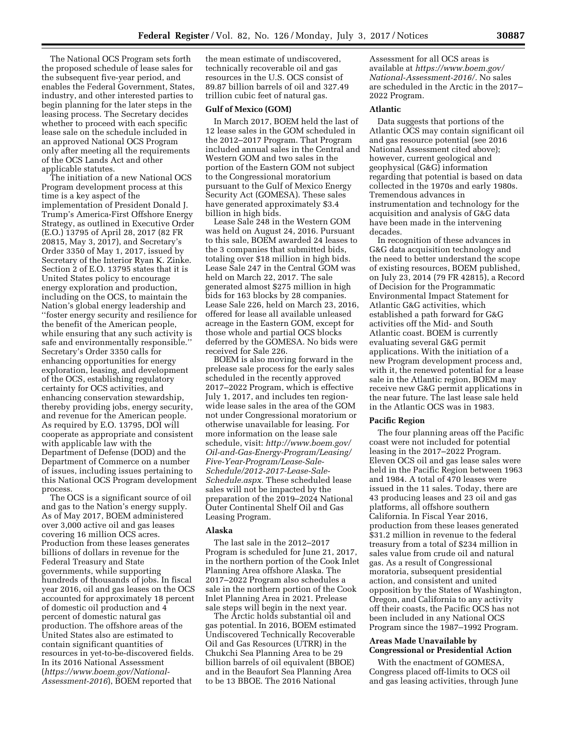The National OCS Program sets forth the proposed schedule of lease sales for the subsequent five-year period, and enables the Federal Government, States, industry, and other interested parties to begin planning for the later steps in the leasing process. The Secretary decides whether to proceed with each specific lease sale on the schedule included in an approved National OCS Program only after meeting all the requirements of the OCS Lands Act and other applicable statutes.

The initiation of a new National OCS Program development process at this time is a key aspect of the implementation of President Donald J. Trump's America-First Offshore Energy Strategy, as outlined in Executive Order (E.O.) 13795 of April 28, 2017 (82 FR 20815, May 3, 2017), and Secretary's Order 3350 of May 1, 2017, issued by Secretary of the Interior Ryan K. Zinke. Section 2 of E.O. 13795 states that it is United States policy to encourage energy exploration and production, including on the OCS, to maintain the Nation's global energy leadership and ''foster energy security and resilience for the benefit of the American people, while ensuring that any such activity is safe and environmentally responsible.'' Secretary's Order 3350 calls for enhancing opportunities for energy exploration, leasing, and development of the OCS, establishing regulatory certainty for OCS activities, and enhancing conservation stewardship, thereby providing jobs, energy security, and revenue for the American people. As required by E.O. 13795, DOI will cooperate as appropriate and consistent with applicable law with the Department of Defense (DOD) and the Department of Commerce on a number of issues, including issues pertaining to this National OCS Program development process.

The OCS is a significant source of oil and gas to the Nation's energy supply. As of May 2017, BOEM administered over 3,000 active oil and gas leases covering 16 million OCS acres. Production from these leases generates billions of dollars in revenue for the Federal Treasury and State governments, while supporting hundreds of thousands of jobs. In fiscal year 2016, oil and gas leases on the OCS accounted for approximately 18 percent of domestic oil production and 4 percent of domestic natural gas production. The offshore areas of the United States also are estimated to contain significant quantities of resources in yet-to-be-discovered fields. In its 2016 National Assessment (*[https://www.boem.gov/National-](https://www.boem.gov/National-Assessment-2016)[Assessment-2016](https://www.boem.gov/National-Assessment-2016)*), BOEM reported that

the mean estimate of undiscovered, technically recoverable oil and gas resources in the U.S. OCS consist of 89.87 billion barrels of oil and 327.49 trillion cubic feet of natural gas.

## **Gulf of Mexico (GOM)**

In March 2017, BOEM held the last of 12 lease sales in the GOM scheduled in the 2012–2017 Program. That Program included annual sales in the Central and Western GOM and two sales in the portion of the Eastern GOM not subject to the Congressional moratorium pursuant to the Gulf of Mexico Energy Security Act (GOMESA). These sales have generated approximately \$3.4 billion in high bids.

Lease Sale 248 in the Western GOM was held on August 24, 2016. Pursuant to this sale, BOEM awarded 24 leases to the 3 companies that submitted bids, totaling over \$18 million in high bids. Lease Sale 247 in the Central GOM was held on March 22, 2017. The sale generated almost \$275 million in high bids for 163 blocks by 28 companies. Lease Sale 226, held on March 23, 2016, offered for lease all available unleased acreage in the Eastern GOM, except for those whole and partial OCS blocks deferred by the GOMESA. No bids were received for Sale 226.

BOEM is also moving forward in the prelease sale process for the early sales scheduled in the recently approved 2017–2022 Program, which is effective July 1, 2017, and includes ten regionwide lease sales in the area of the GOM not under Congressional moratorium or otherwise unavailable for leasing. For more information on the lease sale schedule, visit: *[http://www.boem.gov/](http://www.boem.gov/Oil-and-Gas-Energy-Program/Leasing/Five-Year-Program/Lease-Sale-Schedule/2012-2017-Lease-Sale-Schedule.aspx) [Oil-and-Gas-Energy-Program/Leasing/](http://www.boem.gov/Oil-and-Gas-Energy-Program/Leasing/Five-Year-Program/Lease-Sale-Schedule/2012-2017-Lease-Sale-Schedule.aspx)  [Five-Year-Program/Lease-Sale-](http://www.boem.gov/Oil-and-Gas-Energy-Program/Leasing/Five-Year-Program/Lease-Sale-Schedule/2012-2017-Lease-Sale-Schedule.aspx)[Schedule/2012-2017-Lease-Sale-](http://www.boem.gov/Oil-and-Gas-Energy-Program/Leasing/Five-Year-Program/Lease-Sale-Schedule/2012-2017-Lease-Sale-Schedule.aspx)[Schedule.aspx.](http://www.boem.gov/Oil-and-Gas-Energy-Program/Leasing/Five-Year-Program/Lease-Sale-Schedule/2012-2017-Lease-Sale-Schedule.aspx)* These scheduled lease sales will not be impacted by the preparation of the 2019–2024 National Outer Continental Shelf Oil and Gas Leasing Program.

### **Alaska**

The last sale in the 2012–2017 Program is scheduled for June 21, 2017, in the northern portion of the Cook Inlet Planning Area offshore Alaska. The 2017–2022 Program also schedules a sale in the northern portion of the Cook Inlet Planning Area in 2021. Prelease sale steps will begin in the next year.

The Arctic holds substantial oil and gas potential. In 2016, BOEM estimated Undiscovered Technically Recoverable Oil and Gas Resources (UTRR) in the Chukchi Sea Planning Area to be 29 billion barrels of oil equivalent (BBOE) and in the Beaufort Sea Planning Area to be 13 BBOE. The 2016 National

Assessment for all OCS areas is available at *[https://www.boem.gov/](https://www.boem.gov/National-Assessment-2016/)  [National-Assessment-2016/.](https://www.boem.gov/National-Assessment-2016/)* No sales are scheduled in the Arctic in the 2017– 2022 Program.

## **Atlantic**

Data suggests that portions of the Atlantic OCS may contain significant oil and gas resource potential (see 2016 National Assessment cited above); however, current geological and geophysical (G&G) information regarding that potential is based on data collected in the 1970s and early 1980s. Tremendous advances in instrumentation and technology for the acquisition and analysis of G&G data have been made in the intervening decades.

In recognition of these advances in G&G data acquisition technology and the need to better understand the scope of existing resources, BOEM published, on July 23, 2014 (79 FR 42815), a Record of Decision for the Programmatic Environmental Impact Statement for Atlantic G&G activities, which established a path forward for G&G activities off the Mid- and South Atlantic coast. BOEM is currently evaluating several G&G permit applications. With the initiation of a new Program development process and, with it, the renewed potential for a lease sale in the Atlantic region, BOEM may receive new G&G permit applications in the near future. The last lease sale held in the Atlantic OCS was in 1983.

## **Pacific Region**

The four planning areas off the Pacific coast were not included for potential leasing in the 2017–2022 Program. Eleven OCS oil and gas lease sales were held in the Pacific Region between 1963 and 1984. A total of 470 leases were issued in the 11 sales. Today, there are 43 producing leases and 23 oil and gas platforms, all offshore southern California. In Fiscal Year 2016, production from these leases generated \$31.2 million in revenue to the federal treasury from a total of \$234 million in sales value from crude oil and natural gas. As a result of Congressional moratoria, subsequent presidential action, and consistent and united opposition by the States of Washington, Oregon, and California to any activity off their coasts, the Pacific OCS has not been included in any National OCS Program since the 1987–1992 Program.

# **Areas Made Unavailable by Congressional or Presidential Action**

With the enactment of GOMESA, Congress placed off-limits to OCS oil and gas leasing activities, through June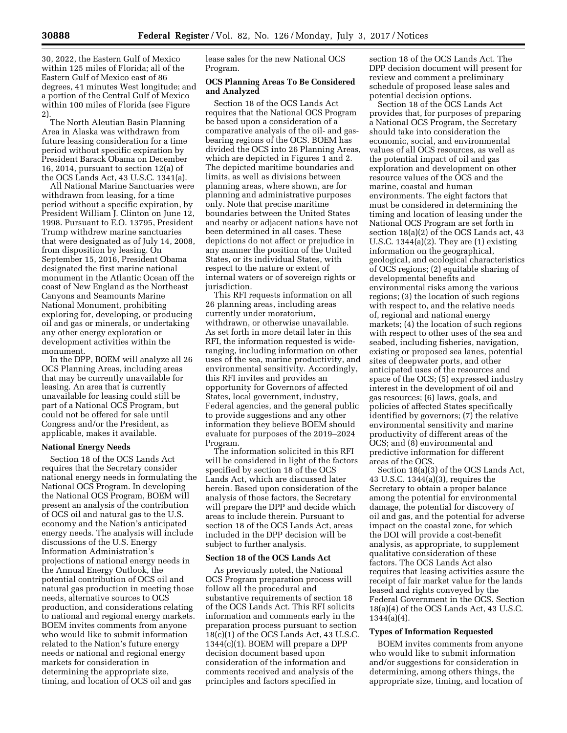30, 2022, the Eastern Gulf of Mexico within 125 miles of Florida; all of the Eastern Gulf of Mexico east of 86 degrees, 41 minutes West longitude; and a portion of the Central Gulf of Mexico within 100 miles of Florida (see Figure 2).

The North Aleutian Basin Planning Area in Alaska was withdrawn from future leasing consideration for a time period without specific expiration by President Barack Obama on December 16, 2014, pursuant to section 12(a) of the OCS Lands Act, 43 U.S.C. 1341(a).

All National Marine Sanctuaries were withdrawn from leasing, for a time period without a specific expiration, by President William J. Clinton on June 12, 1998. Pursuant to E.O. 13795, President Trump withdrew marine sanctuaries that were designated as of July 14, 2008, from disposition by leasing. On September 15, 2016, President Obama designated the first marine national monument in the Atlantic Ocean off the coast of New England as the Northeast Canyons and Seamounts Marine National Monument, prohibiting exploring for, developing, or producing oil and gas or minerals, or undertaking any other energy exploration or development activities within the monument.

In the DPP, BOEM will analyze all 26 OCS Planning Areas, including areas that may be currently unavailable for leasing. An area that is currently unavailable for leasing could still be part of a National OCS Program, but could not be offered for sale until Congress and/or the President, as applicable, makes it available.

## **National Energy Needs**

Section 18 of the OCS Lands Act requires that the Secretary consider national energy needs in formulating the National OCS Program. In developing the National OCS Program, BOEM will present an analysis of the contribution of OCS oil and natural gas to the U.S. economy and the Nation's anticipated energy needs. The analysis will include discussions of the U.S. Energy Information Administration's projections of national energy needs in the Annual Energy Outlook, the potential contribution of OCS oil and natural gas production in meeting those needs, alternative sources to OCS production, and considerations relating to national and regional energy markets. BOEM invites comments from anyone who would like to submit information related to the Nation's future energy needs or national and regional energy markets for consideration in determining the appropriate size, timing, and location of OCS oil and gas

lease sales for the new National OCS Program.

# **OCS Planning Areas To Be Considered and Analyzed**

Section 18 of the OCS Lands Act requires that the National OCS Program be based upon a consideration of a comparative analysis of the oil- and gasbearing regions of the OCS. BOEM has divided the OCS into 26 Planning Areas, which are depicted in Figures 1 and 2. The depicted maritime boundaries and limits, as well as divisions between planning areas, where shown, are for planning and administrative purposes only. Note that precise maritime boundaries between the United States and nearby or adjacent nations have not been determined in all cases. These depictions do not affect or prejudice in any manner the position of the United States, or its individual States, with respect to the nature or extent of internal waters or of sovereign rights or jurisdiction.

This RFI requests information on all 26 planning areas, including areas currently under moratorium, withdrawn, or otherwise unavailable. As set forth in more detail later in this RFI, the information requested is wideranging, including information on other uses of the sea, marine productivity, and environmental sensitivity. Accordingly, this RFI invites and provides an opportunity for Governors of affected States, local government, industry, Federal agencies, and the general public to provide suggestions and any other information they believe BOEM should evaluate for purposes of the 2019–2024 Program.

The information solicited in this RFI will be considered in light of the factors specified by section 18 of the OCS Lands Act, which are discussed later herein. Based upon consideration of the analysis of those factors, the Secretary will prepare the DPP and decide which areas to include therein. Pursuant to section 18 of the OCS Lands Act, areas included in the DPP decision will be subject to further analysis.

## **Section 18 of the OCS Lands Act**

As previously noted, the National OCS Program preparation process will follow all the procedural and substantive requirements of section 18 of the OCS Lands Act. This RFI solicits information and comments early in the preparation process pursuant to section 18(c)(1) of the OCS Lands Act, 43 U.S.C. 1344(c)(1). BOEM will prepare a DPP decision document based upon consideration of the information and comments received and analysis of the principles and factors specified in

section 18 of the OCS Lands Act. The DPP decision document will present for review and comment a preliminary schedule of proposed lease sales and potential decision options.

Section 18 of the OCS Lands Act provides that, for purposes of preparing a National OCS Program, the Secretary should take into consideration the economic, social, and environmental values of all OCS resources, as well as the potential impact of oil and gas exploration and development on other resource values of the OCS and the marine, coastal and human environments. The eight factors that must be considered in determining the timing and location of leasing under the National OCS Program are set forth in section 18(a)(2) of the OCS Lands act, 43 U.S.C. 1344(a)(2). They are (1) existing information on the geographical, geological, and ecological characteristics of OCS regions; (2) equitable sharing of developmental benefits and environmental risks among the various regions; (3) the location of such regions with respect to, and the relative needs of, regional and national energy markets; (4) the location of such regions with respect to other uses of the sea and seabed, including fisheries, navigation, existing or proposed sea lanes, potential sites of deepwater ports, and other anticipated uses of the resources and space of the OCS; (5) expressed industry interest in the development of oil and gas resources; (6) laws, goals, and policies of affected States specifically identified by governors; (7) the relative environmental sensitivity and marine productivity of different areas of the OCS; and (8) environmental and predictive information for different areas of the OCS.

Section 18(a)(3) of the OCS Lands Act, 43 U.S.C. 1344(a)(3), requires the Secretary to obtain a proper balance among the potential for environmental damage, the potential for discovery of oil and gas, and the potential for adverse impact on the coastal zone, for which the DOI will provide a cost-benefit analysis, as appropriate, to supplement qualitative consideration of these factors. The OCS Lands Act also requires that leasing activities assure the receipt of fair market value for the lands leased and rights conveyed by the Federal Government in the OCS. Section 18(a)(4) of the OCS Lands Act, 43 U.S.C. 1344(a)(4).

#### **Types of Information Requested**

BOEM invites comments from anyone who would like to submit information and/or suggestions for consideration in determining, among others things, the appropriate size, timing, and location of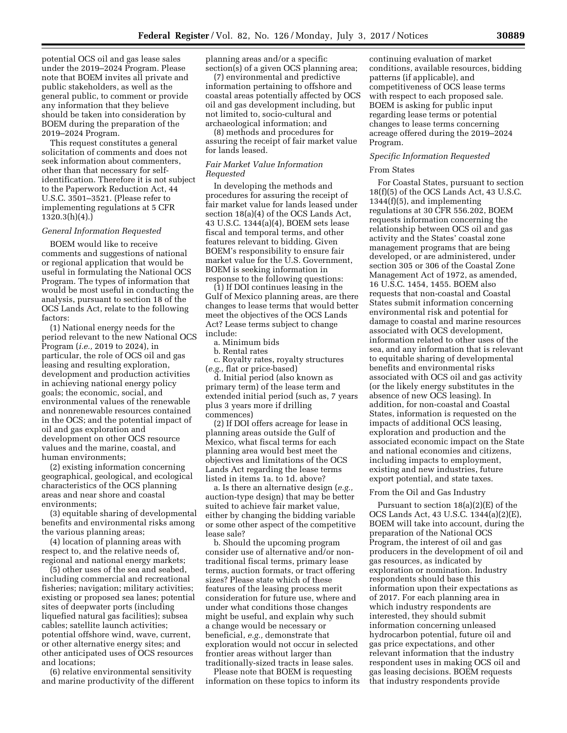potential OCS oil and gas lease sales under the 2019–2024 Program. Please note that BOEM invites all private and public stakeholders, as well as the general public, to comment or provide any information that they believe should be taken into consideration by BOEM during the preparation of the 2019–2024 Program.

This request constitutes a general solicitation of comments and does not seek information about commenters, other than that necessary for selfidentification. Therefore it is not subject to the Paperwork Reduction Act, 44 U.S.C. 3501–3521. (Please refer to implementing regulations at 5 CFR 1320.3(h)(4).)

#### *General Information Requested*

BOEM would like to receive comments and suggestions of national or regional application that would be useful in formulating the National OCS Program. The types of information that would be most useful in conducting the analysis, pursuant to section 18 of the OCS Lands Act, relate to the following factors:

(1) National energy needs for the period relevant to the new National OCS Program (*i.e.,* 2019 to 2024), in particular, the role of OCS oil and gas leasing and resulting exploration, development and production activities in achieving national energy policy goals; the economic, social, and environmental values of the renewable and nonrenewable resources contained in the OCS; and the potential impact of oil and gas exploration and development on other OCS resource values and the marine, coastal, and human environments;

(2) existing information concerning geographical, geological, and ecological characteristics of the OCS planning areas and near shore and coastal environments;

(3) equitable sharing of developmental benefits and environmental risks among the various planning areas;

(4) location of planning areas with respect to, and the relative needs of, regional and national energy markets;

(5) other uses of the sea and seabed, including commercial and recreational fisheries; navigation; military activities; existing or proposed sea lanes; potential sites of deepwater ports (including liquefied natural gas facilities); subsea cables; satellite launch activities; potential offshore wind, wave, current, or other alternative energy sites; and other anticipated uses of OCS resources and locations;

(6) relative environmental sensitivity and marine productivity of the different planning areas and/or a specific section(s) of a given OCS planning area;

(7) environmental and predictive information pertaining to offshore and coastal areas potentially affected by OCS oil and gas development including, but not limited to, socio-cultural and archaeological information; and

(8) methods and procedures for assuring the receipt of fair market value for lands leased.

# *Fair Market Value Information Requested*

In developing the methods and procedures for assuring the receipt of fair market value for lands leased under section 18(a)(4) of the OCS Lands Act, 43 U.S.C. 1344(a)(4), BOEM sets lease fiscal and temporal terms, and other features relevant to bidding. Given BOEM's responsibility to ensure fair market value for the U.S. Government, BOEM is seeking information in response to the following questions:

(1) If DOI continues leasing in the Gulf of Mexico planning areas, are there changes to lease terms that would better meet the objectives of the OCS Lands Act? Lease terms subject to change include:

a. Minimum bids

b. Rental rates

c. Royalty rates, royalty structures (*e.g.,* flat or price-based)

d. Initial period (also known as primary term) of the lease term and extended initial period (such as, 7 years plus 3 years more if drilling commences)

(2) If DOI offers acreage for lease in planning areas outside the Gulf of Mexico, what fiscal terms for each planning area would best meet the objectives and limitations of the OCS Lands Act regarding the lease terms listed in items 1a. to 1d. above?

a. Is there an alternative design (*e.g.,*  auction-type design) that may be better suited to achieve fair market value, either by changing the bidding variable or some other aspect of the competitive lease sale?

b. Should the upcoming program consider use of alternative and/or nontraditional fiscal terms, primary lease terms, auction formats, or tract offering sizes? Please state which of these features of the leasing process merit consideration for future use, where and under what conditions those changes might be useful, and explain why such a change would be necessary or beneficial, *e.g.,* demonstrate that exploration would not occur in selected frontier areas without larger than traditionally-sized tracts in lease sales.

Please note that BOEM is requesting information on these topics to inform its continuing evaluation of market conditions, available resources, bidding patterns (if applicable), and competitiveness of OCS lease terms with respect to each proposed sale. BOEM is asking for public input regarding lease terms or potential changes to lease terms concerning acreage offered during the 2019–2024 Program.

# *Specific Information Requested*

#### From States

For Coastal States, pursuant to section 18(f)(5) of the OCS Lands Act, 43 U.S.C. 1344(f)(5), and implementing regulations at 30 CFR 556.202, BOEM requests information concerning the relationship between OCS oil and gas activity and the States' coastal zone management programs that are being developed, or are administered, under section 305 or 306 of the Coastal Zone Management Act of 1972, as amended, 16 U.S.C. 1454, 1455. BOEM also requests that non-coastal and Coastal States submit information concerning environmental risk and potential for damage to coastal and marine resources associated with OCS development, information related to other uses of the sea, and any information that is relevant to equitable sharing of developmental benefits and environmental risks associated with OCS oil and gas activity (or the likely energy substitutes in the absence of new OCS leasing). In addition, for non-coastal and Coastal States, information is requested on the impacts of additional OCS leasing, exploration and production and the associated economic impact on the State and national economies and citizens, including impacts to employment, existing and new industries, future export potential, and state taxes.

## From the Oil and Gas Industry

Pursuant to section 18(a)(2)(E) of the OCS Lands Act, 43 U.S.C. 1344(a)(2)(E), BOEM will take into account, during the preparation of the National OCS Program, the interest of oil and gas producers in the development of oil and gas resources, as indicated by exploration or nomination. Industry respondents should base this information upon their expectations as of 2017. For each planning area in which industry respondents are interested, they should submit information concerning unleased hydrocarbon potential, future oil and gas price expectations, and other relevant information that the industry respondent uses in making OCS oil and gas leasing decisions. BOEM requests that industry respondents provide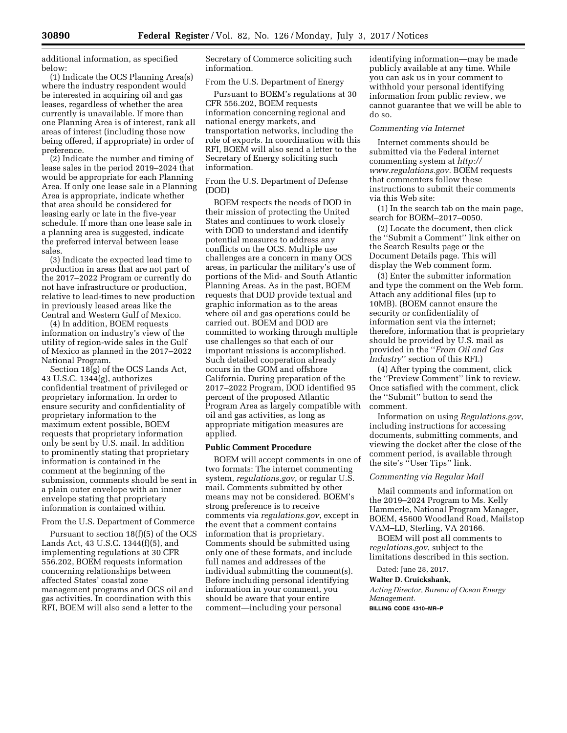additional information, as specified below:

(1) Indicate the OCS Planning Area(s) where the industry respondent would be interested in acquiring oil and gas leases, regardless of whether the area currently is unavailable. If more than one Planning Area is of interest, rank all areas of interest (including those now being offered, if appropriate) in order of preference.

(2) Indicate the number and timing of lease sales in the period 2019–2024 that would be appropriate for each Planning Area. If only one lease sale in a Planning Area is appropriate, indicate whether that area should be considered for leasing early or late in the five-year schedule. If more than one lease sale in a planning area is suggested, indicate the preferred interval between lease sales.

(3) Indicate the expected lead time to production in areas that are not part of the 2017–2022 Program or currently do not have infrastructure or production, relative to lead-times to new production in previously leased areas like the Central and Western Gulf of Mexico.

(4) In addition, BOEM requests information on industry's view of the utility of region-wide sales in the Gulf of Mexico as planned in the 2017–2022 National Program.

Section  $18\overline{g}$  of the OCS Lands Act, 43 U.S.C. 1344(g), authorizes confidential treatment of privileged or proprietary information. In order to ensure security and confidentiality of proprietary information to the maximum extent possible, BOEM requests that proprietary information only be sent by U.S. mail. In addition to prominently stating that proprietary information is contained in the comment at the beginning of the submission, comments should be sent in a plain outer envelope with an inner envelope stating that proprietary information is contained within.

## From the U.S. Department of Commerce

Pursuant to section 18(f)(5) of the OCS Lands Act, 43 U.S.C. 1344(f)(5), and implementing regulations at 30 CFR 556.202, BOEM requests information concerning relationships between affected States' coastal zone management programs and OCS oil and gas activities. In coordination with this RFI, BOEM will also send a letter to the

Secretary of Commerce soliciting such information.

## From the U.S. Department of Energy

Pursuant to BOEM's regulations at 30 CFR 556.202, BOEM requests information concerning regional and national energy markets, and transportation networks, including the role of exports. In coordination with this RFI, BOEM will also send a letter to the Secretary of Energy soliciting such information.

From the U.S. Department of Defense (DOD)

BOEM respects the needs of DOD in their mission of protecting the United States and continues to work closely with DOD to understand and identify potential measures to address any conflicts on the OCS. Multiple use challenges are a concern in many OCS areas, in particular the military's use of portions of the Mid- and South Atlantic Planning Areas. As in the past, BOEM requests that DOD provide textual and graphic information as to the areas where oil and gas operations could be carried out. BOEM and DOD are committed to working through multiple use challenges so that each of our important missions is accomplished. Such detailed cooperation already occurs in the GOM and offshore California. During preparation of the 2017–2022 Program, DOD identified 95 percent of the proposed Atlantic Program Area as largely compatible with oil and gas activities, as long as appropriate mitigation measures are applied.

# **Public Comment Procedure**

BOEM will accept comments in one of two formats: The internet commenting system, *regulations.gov*, or regular U.S. mail. Comments submitted by other means may not be considered. BOEM's strong preference is to receive comments via *regulations.gov*, except in the event that a comment contains information that is proprietary. Comments should be submitted using only one of these formats, and include full names and addresses of the individual submitting the comment(s). Before including personal identifying information in your comment, you should be aware that your entire comment—including your personal

identifying information—may be made publicly available at any time. While you can ask us in your comment to withhold your personal identifying information from public review, we cannot guarantee that we will be able to do so.

#### *Commenting via Internet*

Internet comments should be submitted via the Federal internet commenting system at *[http://](http://www.regulations.gov) [www.regulations.gov.](http://www.regulations.gov)* BOEM requests that commenters follow these instructions to submit their comments via this Web site:

(1) In the search tab on the main page, search for BOEM–2017–0050.

(2) Locate the document, then click the ''Submit a Comment'' link either on the Search Results page or the Document Details page. This will display the Web comment form.

(3) Enter the submitter information and type the comment on the Web form. Attach any additional files (up to 10MB). (BOEM cannot ensure the security or confidentiality of information sent via the internet; therefore, information that is proprietary should be provided by U.S. mail as provided in the ''*From Oil and Gas Industry*'' section of this RFI.)

(4) After typing the comment, click the ''Preview Comment'' link to review. Once satisfied with the comment, click the ''Submit'' button to send the comment.

Information on using *Regulations.gov*, including instructions for accessing documents, submitting comments, and viewing the docket after the close of the comment period, is available through the site's ''User Tips'' link.

## *Commenting via Regular Mail*

Mail comments and information on the 2019–2024 Program to Ms. Kelly Hammerle, National Program Manager, BOEM, 45600 Woodland Road, Mailstop VAM–LD, Sterling, VA 20166.

BOEM will post all comments to *regulations.gov*, subject to the limitations described in this section.

Dated: June 28, 2017.

## **Walter D. Cruickshank,**

*Acting Director, Bureau of Ocean Energy Management.* 

**BILLING CODE 4310–MR–P**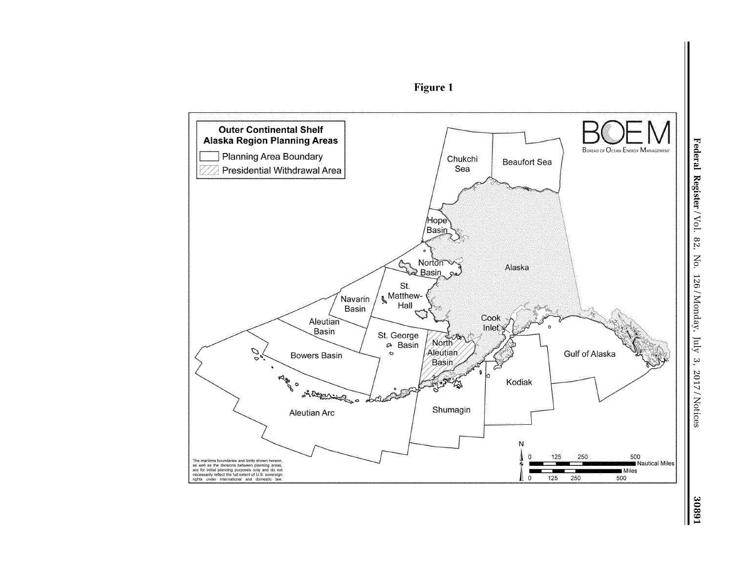

**Figure 1** 

18803